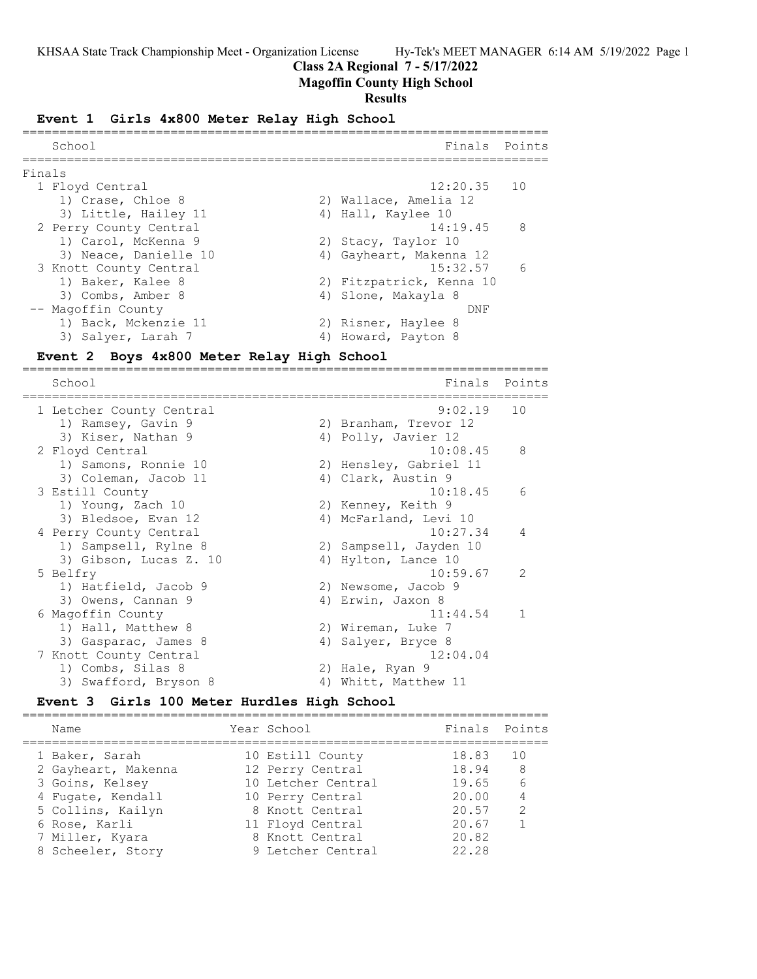## **Class 2A Regional 7 - 5/17/2022**

## **Magoffin County High School**

#### **Results**

#### **Event 1 Girls 4x800 Meter Relay High School**

|        | School                 | Finals Points            |                 |
|--------|------------------------|--------------------------|-----------------|
| Finals |                        |                          |                 |
|        | 1 Floyd Central        | $12:20.35$ 10            |                 |
|        | 1) Crase, Chloe 8      | 2) Wallace, Amelia 12    |                 |
|        | 3) Little, Hailey 11   | 4) Hall, Kaylee 10       |                 |
|        | 2 Perry County Central | $14:19.45$ 8             |                 |
|        | 1) Carol, McKenna 9    | 2) Stacy, Taylor 10      |                 |
|        | 3) Neace, Danielle 10  | 4) Gayheart, Makenna 12  |                 |
|        | 3 Knott County Central | 15:32.57                 | $6\overline{6}$ |
|        | 1) Baker, Kalee 8      | 2) Fitzpatrick, Kenna 10 |                 |
|        | 3) Combs, Amber 8      | 4) Slone, Makayla 8      |                 |
|        | -- Magoffin County     | DNF                      |                 |
|        | 1) Back, Mckenzie 11   | 2) Risner, Haylee 8      |                 |
|        | 3) Salver, Larah 7     | 4) Howard, Payton 8      |                 |

### **Event 2 Boys 4x800 Meter Relay High School**

======================================================================= Finals Points ======================================================================= 1 Letcher County Central 9:02.19 10 1) Ramsey, Gavin 9 2) Branham, Trevor 12 3) Kiser, Nathan 9 1988 1998 1998, Javier 12 2 Floyd Central 10:08.45 8 1) Samons, Ronnie 10 2) Hensley, Gabriel 11 3) Coleman, Jacob 11 (4) Clark, Austin 9 3 Estill County 10:18.45 6 1) Young, Zach 10 2) Kenney, Keith 9 3) Bledsoe, Evan 12 4) McFarland, Levi 10 4 Perry County Central 10:27.34 4 1) Sampsell, Rylne 8 2) Sampsell, Jayden 10 3) Gibson, Lucas Z. 10 (4) Hylton, Lance 10 5 Belfry 10:59.67 2 1) Hatfield, Jacob 9 2) Newsome, Jacob 9 3) Owens, Cannan 9 (4) Erwin, Jaxon 8 6 Magoffin County 11:44.54 1 1) Hall, Matthew 8 2) Wireman, Luke 7 3) Gasparac, James 8 4) Salyer, Bryce 8 7 Knott County Central 12:04.04 1) Combs, Silas 8 2) Hale, Ryan 9 3) Swafford, Bryson 8 4) Whitt, Matthew 11

#### **Event 3 Girls 100 Meter Hurdles High School** =======================================================================

| Name                | Year School        | Finals Points |               |
|---------------------|--------------------|---------------|---------------|
| 1 Baker, Sarah      | 10 Estill County   | 18.83         | 10            |
| 2 Gayheart, Makenna | 12 Perry Central   | 18.94         | 8             |
| 3 Goins, Kelsey     | 10 Letcher Central | 19.65         | 6             |
| 4 Fugate, Kendall   | 10 Perry Central   | 20.00         |               |
| 5 Collins, Kailyn   | 8 Knott Central    | 20.57         | $\mathcal{P}$ |
| 6 Rose, Karli       | 11 Floyd Central   | 20.67         |               |
| 7 Miller, Kyara     | 8 Knott Central    | 20.82         |               |
| 8 Scheeler, Story   | 9 Letcher Central  | 22.28         |               |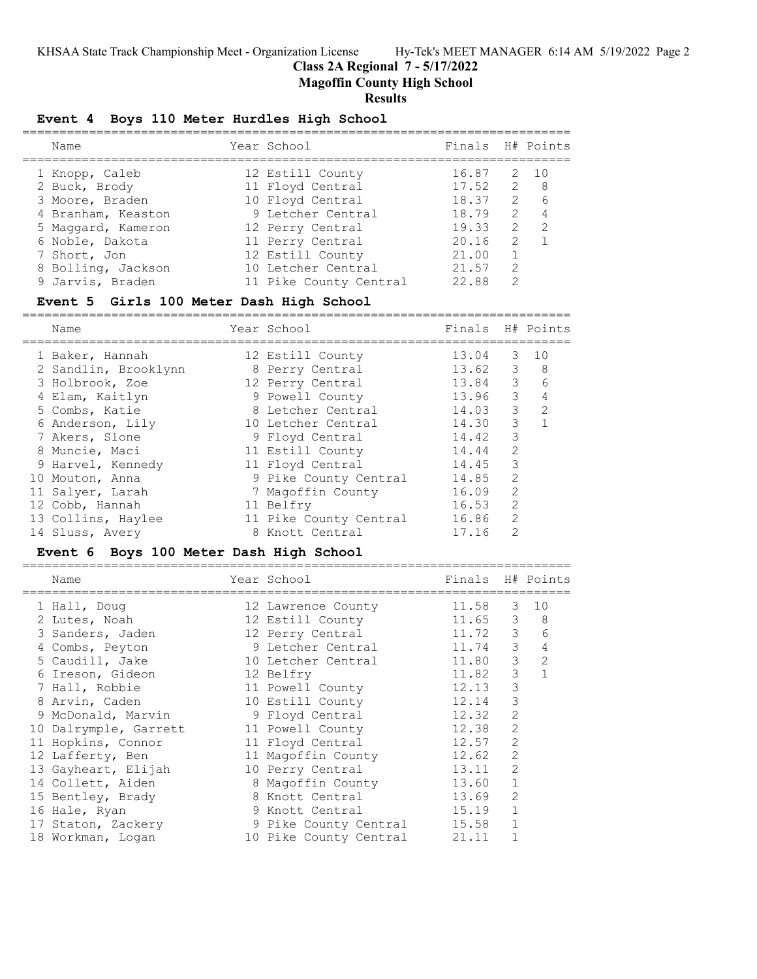## **Class 2A Regional 7 - 5/17/2022**

**Magoffin County High School**

#### **Results**

#### **Event 4 Boys 110 Meter Hurdles High School**

| Name               | Year School            | Finals H# Points |               |                 |
|--------------------|------------------------|------------------|---------------|-----------------|
| 1 Knopp, Caleb     | 12 Estill County       | 16.87            | 2 10          |                 |
| 2 Buck, Brody      | 11 Floyd Central       | $17.52 \t 2 8$   |               |                 |
| 3 Moore, Braden    | 10 Floyd Central       | 18.37            |               | $2\overline{6}$ |
| 4 Branham, Keaston | 9 Letcher Central      | 18.79            | $\mathcal{P}$ | $\overline{4}$  |
| 5 Maggard, Kameron | 12 Perry Central       | 19.33            | 2             | $\mathcal{P}$   |
| 6 Noble, Dakota    | 11 Perry Central       | 20.16            | $\mathcal{L}$ |                 |
| 7 Short, Jon       | 12 Estill County       | 21.00            |               |                 |
| 8 Bolling, Jackson | 10 Letcher Central     | 21.57            | $\mathcal{L}$ |                 |
| 9 Jarvis, Braden   | 11 Pike County Central | 22.88            | $\mathcal{P}$ |                 |
|                    |                        |                  |               |                 |

#### **Event 5 Girls 100 Meter Dash High School**

========================================================================== Name The School Chamber of Team Manners Harry Mean School Chamber of The Points ========================================================================== 1 Baker, Hannah 12 Estill County 13.04 3 10 2 Sandlin, Brooklynn 8 Perry Central 13.62 3 8 3 Holbrook, Zoe 12 Perry Central 13.84 3 6 4 Elam, Kaitlyn 9 Powell County 13.96 3 4 5 Combs, Katie 8 Letcher Central 14.03 3 2 6 Anderson, Lily 10 Letcher Central 14.30 3 1 7 Akers, Slone 9 Floyd Central 14.42 3 8 Muncie, Maci 11 Estill County 14.44 2 9 Harvel, Kennedy 11 Floyd Central 14.45 3 10 Mouton, Anna 9 Pike County Central 14.85 2 11 Salyer, Larah 7 Magoffin County 16.09 2 12 Cobb, Hannah 11 Belfry 16.53 2 13 Collins, Haylee 11 Pike County Central 16.86 2 14 Sluss, Avery 8 Knott Central 17.16 2

#### **Event 6 Boys 100 Meter Dash High School**

 Name Year School Finals H# Points ========================================================================== 1 Hall, Doug 12 Lawrence County 11.58 3 10 2 Lutes, Noah 12 Estill County 11.65 3 8 3 Sanders, Jaden 12 Perry Central 11.72 3 6 4 Combs, Peyton 9 Letcher Central 11.74 3 4 5 Caudill, Jake  $10$  Letcher Central  $11.80$  3 2 6 Ireson, Gideon 12 Belfry 11.82 3 1 7 Hall, Robbie 11 Powell County 12.13 3 8 Arvin, Caden 10 Estill County 12.14 3 9 McDonald, Marvin 9 Floyd Central 12.32 2 10 Dalrymple, Garrett 11 Powell County 12.38 2 11 Hopkins, Connor 11 Floyd Central 12.57 2 12 Lafferty, Ben 11 Magoffin County 12.62 2 13 Gayheart, Elijah 10 Perry Central 13.11 2 14 Collett, Aiden 18 Magoffin County 13.60 1 15 Bentley, Brady 13.69 2 8 Knott Central 13.69 2 16 Hale, Ryan 16 9 Knott Central 15.19 1 17 Staton, Zackery **9 Pike County Central 15.58** 1 18 Workman, Logan 10 Pike County Central 21.11 1

==========================================================================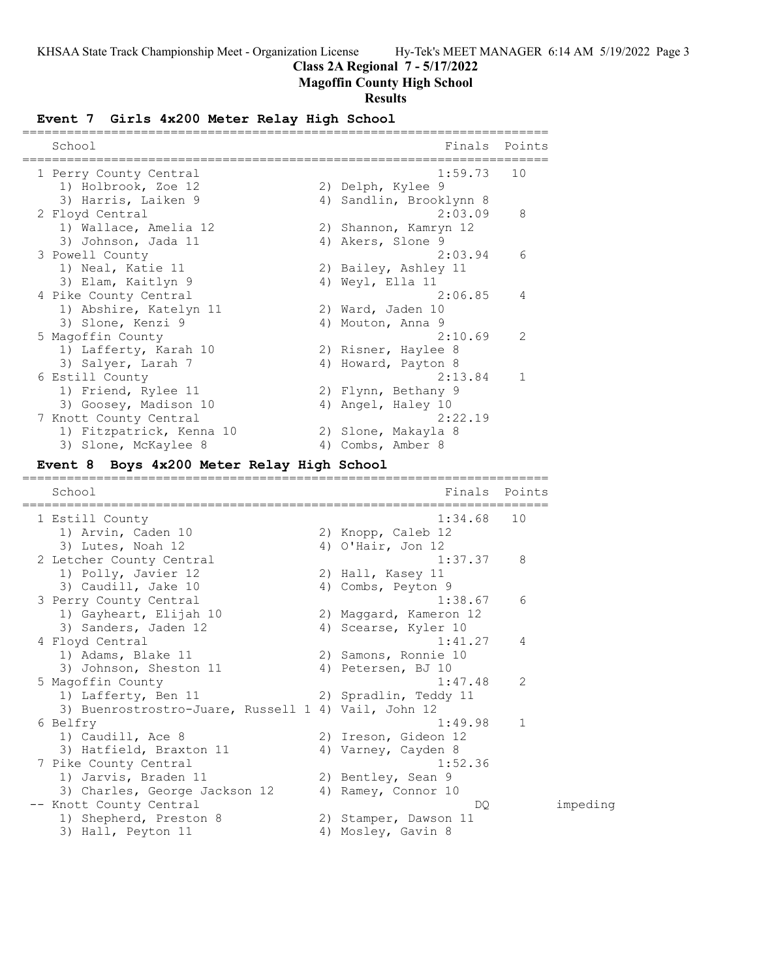# **Class 2A Regional 7 - 5/17/2022**

# **Magoffin County High School**

## **Results**

# **Event 7 Girls 4x200 Meter Relay High School**

| School<br>==================================         | Finals                                      | Points         |
|------------------------------------------------------|---------------------------------------------|----------------|
| 1 Perry County Central                               | 1:59.73                                     | 10             |
| 1) Holbrook, Zoe 12                                  | 2) Delph, Kylee 9                           |                |
| 3) Harris, Laiken 9                                  | 4) Sandlin, Brooklynn 8                     |                |
| 2 Floyd Central                                      | 2:03.09                                     | 8              |
| 1) Wallace, Amelia 12                                | 2) Shannon, Kamryn 12                       |                |
| 3) Johnson, Jada 11                                  | 4) Akers, Slone 9                           |                |
| 3 Powell County                                      | 2:03.94                                     | 6              |
| 1) Neal, Katie 11                                    | 2) Bailey, Ashley 11                        |                |
| 3) Elam, Kaitlyn 9                                   | 4) Weyl, Ella 11                            |                |
| 4 Pike County Central                                | 2:06.85                                     | 4              |
| 1) Abshire, Katelyn 11                               | 2) Ward, Jaden 10                           |                |
| 3) Slone, Kenzi 9                                    | 4) Mouton, Anna 9                           |                |
| 5 Magoffin County                                    | 2:10.69                                     | 2              |
| 1) Lafferty, Karah 10                                | 2) Risner, Haylee 8                         |                |
| 3) Salyer, Larah 7                                   | 4) Howard, Payton 8                         |                |
| 6 Estill County                                      | 2:13.84                                     | 1              |
| 1) Friend, Rylee 11                                  | 2) Flynn, Bethany 9                         |                |
| 3) Goosey, Madison 10                                | 4) Angel, Haley 10                          |                |
| 7 Knott County Central                               | 2:22.19                                     |                |
| 1) Fitzpatrick, Kenna 10                             | 2) Slone, Makayla 8                         |                |
| 3) Slone, McKaylee 8                                 | 4) Combs, Amber 8                           |                |
| Boys 4x200 Meter Relay High School<br><b>Event 8</b> |                                             |                |
| ========                                             | ===============                             |                |
|                                                      |                                             |                |
| School                                               | Finals                                      | Points         |
| 1 Estill County                                      | 1:34.68                                     | 10             |
|                                                      |                                             |                |
| 1) Arvin, Caden 10<br>3) Lutes, Noah 12              | 2) Knopp, Caleb 12<br>4) O'Hair, Jon $12$   |                |
|                                                      | 1:37.37                                     | 8              |
| 2 Letcher County Central                             |                                             |                |
| 1) Polly, Javier 12                                  | 2) Hall, Kasey 11                           |                |
| 3) Caudill, Jake 10                                  | 4) Combs, Peyton 9<br>1:38.67               | 6              |
| 3 Perry County Central                               |                                             |                |
| 1) Gayheart, Elijah 10                               | 2) Maggard, Kameron 12                      |                |
| 3) Sanders, Jaden 12                                 | 4) Scearse, Kyler 10<br>1:41.27             | 4              |
| 4 Floyd Central                                      | 2) Samons, Ronnie 10                        |                |
| 1) Adams, Blake 11                                   | 4) Petersen, BJ 10                          |                |
| 3) Johnson, Sheston 11                               |                                             |                |
| 5 Magoffin County                                    | 1:47.48                                     | $\overline{c}$ |
| 1) Lafferty, Ben 11                                  | 2) Spradlin, Teddy 11                       |                |
| 3) Buenrostrostro-Juare, Russell 1 4) Vail, John 12  | 1:49.98                                     | 1              |
| 6 Belfry                                             |                                             |                |
| 1) Caudill, Ace 8                                    | 2) Ireson, Gideon 12                        |                |
| 3) Hatfield, Braxton 11                              | 4) Varney, Cayden 8                         |                |
| 7 Pike County Central                                | 1:52.36                                     |                |
| 1) Jarvis, Braden 11                                 | 2) Bentley, Sean 9                          |                |
| 3) Charles, George Jackson 12                        | 4) Ramey, Connor 10                         |                |
| -- Knott County Central                              | DQ                                          | impeding       |
| 1) Shepherd, Preston 8<br>3) Hall, Peyton 11         | 2) Stamper, Dawson 11<br>4) Mosley, Gavin 8 |                |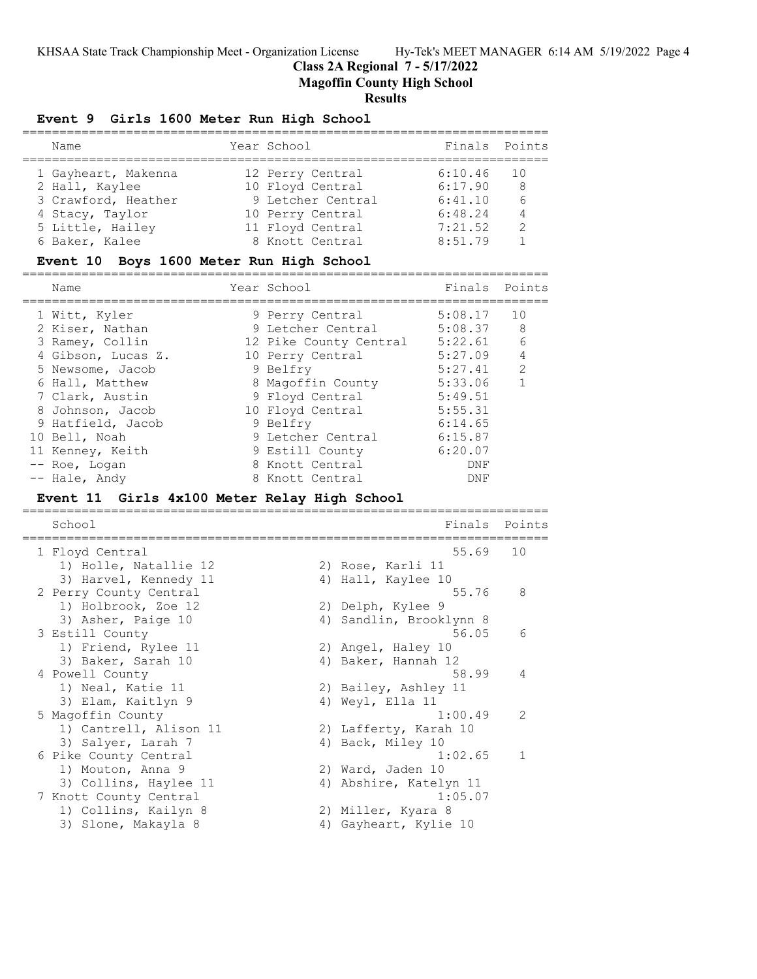**Class 2A Regional 7 - 5/17/2022**

**Magoffin County High School**

## **Results**

## **Event 9 Girls 1600 Meter Run High School**

| Name                | Year School       | Finals Points |       |
|---------------------|-------------------|---------------|-------|
| 1 Gayheart, Makenna | 12 Perry Central  | 6:10.46       | - 1 O |
| 2 Hall, Kaylee      | 10 Floyd Central  | 6:17.90       | -8    |
| 3 Crawford, Heather | 9 Letcher Central | 6:41.10       | 6     |
| 4 Stacy, Taylor     | 10 Perry Central  | 6:48.24       | 4     |
| 5 Little, Hailey    | 11 Floyd Central  | 7:21.52       | 2     |
| 6 Baker, Kalee      | 8 Knott Central   | 8:51.79       |       |

#### **Event 10 Boys 1600 Meter Run High School**

| Name               | Year School            | Finals Points |               |
|--------------------|------------------------|---------------|---------------|
| 1 Witt, Kyler      | 9 Perry Central        | 5:08.17       | 10            |
| 2 Kiser, Nathan    | 9 Letcher Central      | 5:08.37       | - 8           |
| 3 Ramey, Collin    | 12 Pike County Central | 5:22.61       | 6             |
| 4 Gibson, Lucas Z. | 10 Perry Central       | 5:27.09       | 4             |
| 5 Newsome, Jacob   | 9 Belfry               | 5:27.41       | $\mathcal{L}$ |
| 6 Hall, Matthew    | 8 Magoffin County      | 5:33.06       |               |
| 7 Clark, Austin    | 9 Floyd Central        | 5:49.51       |               |
| 8 Johnson, Jacob   | 10 Floyd Central       | 5:55.31       |               |
| 9 Hatfield, Jacob  | 9 Belfry               | 6:14.65       |               |
| 10 Bell, Noah      | 9 Letcher Central      | 6:15.87       |               |
| 11 Kenney, Keith   | 9 Estill County        | 6:20.07       |               |
| -- Roe, Logan      | 8 Knott Central        | DNF           |               |
| -- Hale, Andy      | 8 Knott Central        | DNF           |               |

#### **Event 11 Girls 4x100 Meter Relay High School**

======================================================================= School **Finals** Points ======================================================================= 1 Floyd Central 55.69 10 1) Holle, Natallie 12 (2) Rose, Karli 11 3) Harvel, Kennedy 11 (4) Hall, Kaylee 10 2 Perry County Central 55.76 8 1) Holbrook, Zoe 12 2) Delph, Kylee 9 3) Asher, Paige 10 4) Sandlin, Brooklynn 8 3 Estill County 56.05 6 1) Friend, Rylee 11 2) Angel, Haley 10 3) Baker, Sarah 10 4) Baker, Hannah 12 4 Powell County 58.99 4 1) Neal, Katie 11 2) Bailey, Ashley 11 3) Elam, Kaitlyn 9 19 4) Weyl, Ella 11 5 Magoffin County 1:00.49 2 1) Cantrell, Alison 11 2) Lafferty, Karah 10 3) Salyer, Larah 7 (4) Back, Miley 10 6 Pike County Central 1:02.65 1 1) Mouton, Anna 9 2) Ward, Jaden 10 3) Collins, Haylee 11 4) Abshire, Katelyn 11 7 Knott County Central 1:05.07 1) Collins, Kailyn 8 2) Miller, Kyara 8 3) Slone, Makayla 8 4) Gayheart, Kylie 10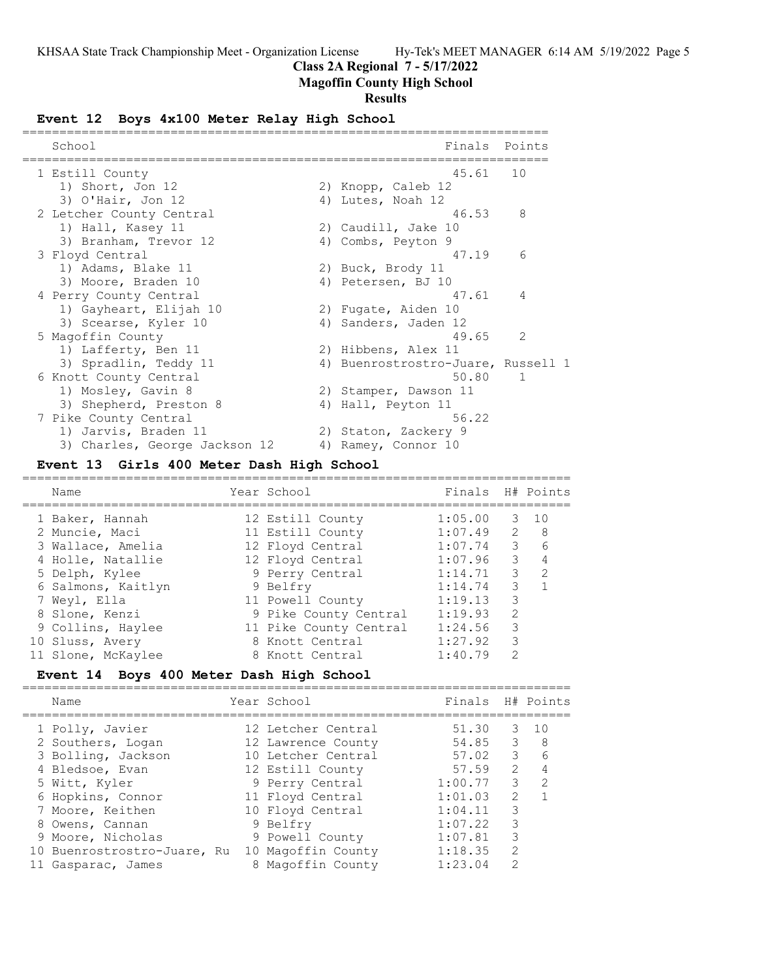## **Class 2A Regional 7 - 5/17/2022**

## **Magoffin County High School**

## **Results**

#### **Event 12 Boys 4x100 Meter Relay High School**

| School                        | Finals                             | Points        |
|-------------------------------|------------------------------------|---------------|
| 1 Estill County               | 45.61                              | 10            |
| 1) Short, Jon 12              | 2) Knopp, Caleb 12                 |               |
| $3)$ O'Hair, Jon 12           | 4) Lutes, Noah 12                  |               |
| 2 Letcher County Central      | 46.53                              | 8             |
| 1) Hall, Kasey 11             | 2) Caudill, Jake 10                |               |
| 3) Branham, Trevor 12         | 4) Combs, Peyton 9                 |               |
| 3 Floyd Central               | 47.19                              | 6             |
| 1) Adams, Blake 11            | 2) Buck, Brody 11                  |               |
| 3) Moore, Braden 10           | 4) Petersen, BJ 10                 |               |
| 4 Perry County Central        | 47.61                              | 4             |
| 1) Gayheart, Elijah 10        | 2) Fugate, Aiden 10                |               |
| 3) Scearse, Kyler 10          | 4) Sanders, Jaden 12               |               |
| 5 Magoffin County             | 49.65                              | $\mathcal{L}$ |
| 1) Lafferty, Ben 11           | 2) Hibbens, Alex 11                |               |
| 3) Spradlin, Teddy 11         | 4) Buenrostrostro-Juare, Russell 1 |               |
| 6 Knott County Central        | 50.80                              | $\mathbf{1}$  |
| 1) Mosley, Gavin 8            | 2) Stamper, Dawson 11              |               |
| 3) Shepherd, Preston 8        | 4) Hall, Peyton 11                 |               |
| 7 Pike County Central         | 56.22                              |               |
| 1) Jarvis, Braden 11          | 2) Staton, Zackery 9               |               |
| 3) Charles, George Jackson 12 | 4) Ramey, Connor 10                |               |

## **Event 13 Girls 400 Meter Dash High School**

| Name               | Year School            | Finals H# Points |               |                 |
|--------------------|------------------------|------------------|---------------|-----------------|
| 1 Baker, Hannah    | 12 Estill County       | 1:05.00          | 3             | $\overline{10}$ |
| 2 Muncie, Maci     | 11 Estill County       | 1:07.49          |               | $2 \quad 8$     |
| 3 Wallace, Amelia  | 12 Floyd Central       | 1:07.74          | 3             | $6\overline{6}$ |
| 4 Holle, Natallie  | 12 Floyd Central       | 1:07.96          | 3             |                 |
| 5 Delph, Kylee     | 9 Perry Central        | 1:14.71          | 3             | $\mathcal{L}$   |
| 6 Salmons, Kaitlyn | 9 Belfry               | 1:14.74          | 3             |                 |
| 7 Weyl, Ella       | 11 Powell County       | 1:19.13          | 3             |                 |
| 8 Slone, Kenzi     | 9 Pike County Central  | 1:19.93          | $\mathcal{L}$ |                 |
| 9 Collins, Haylee  | 11 Pike County Central | 1:24.56          | 3             |                 |
| 10 Sluss, Avery    | 8 Knott Central        | 1:27.92          | 3             |                 |
| 11 Slone, McKaylee | 8 Knott Central        | 1:40.79          | $\mathcal{P}$ |                 |

## **Event 14 Boys 400 Meter Dash High School**

========================================================================== Name Year School Finals H# Points ========================================================================== 1 Polly, Javier 12 Letcher Central 51.30 3 10 2 Southers, Logan 12 Lawrence County 54.85 3 8 3 Bolling, Jackson 10 Letcher Central 57.02 3 6 4 Bledsoe, Evan 12 Estill County 57.59 2 4 5 Witt, Kyler 9 Perry Central 1:00.77 3 2 6 Hopkins, Connor 11 Floyd Central 1:01.03 2 1 7 Moore, Keithen 10 Floyd Central 1:04.11 3 8 Owens, Cannan 1:07.22 3 9 Moore, Nicholas 9 Powell County 1:07.81 3 10 Buenrostrostro-Juare, Ru 10 Magoffin County 1:18.35 2 11 Gasparac, James 8 Magoffin County 1:23.04 2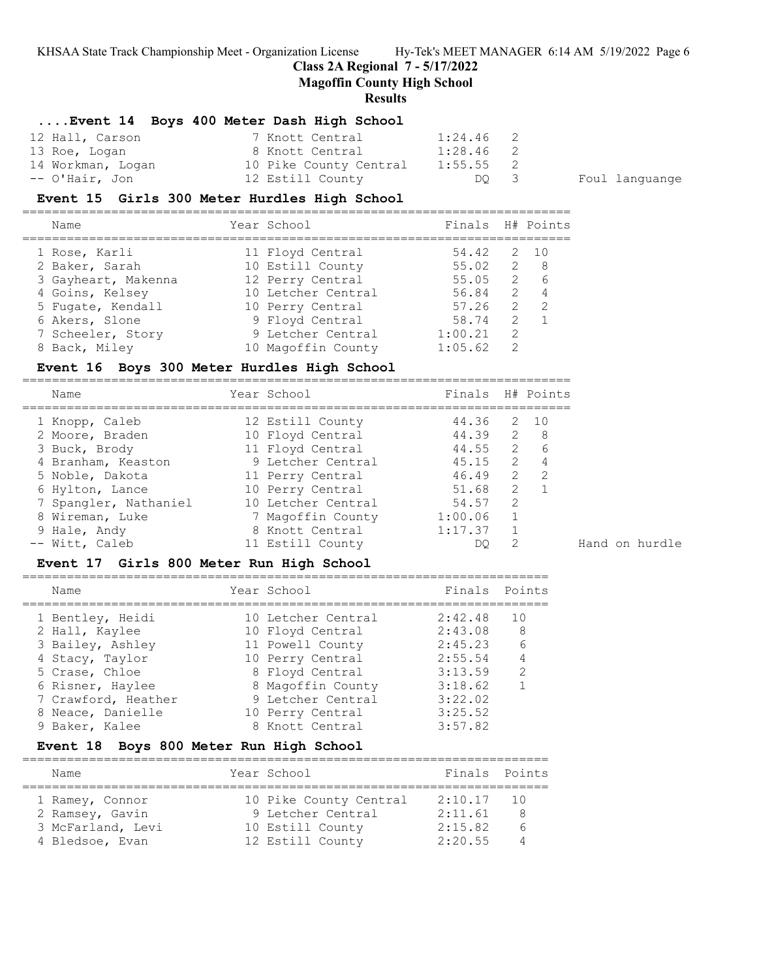## **Class 2A Regional 7 - 5/17/2022**

**Magoffin County High School**

==========================================================================

#### **Results**

## **....Event 14 Boys 400 Meter Dash High School**

| 12 Hall, Carson   | 7 Knott Central        | $1:24.46$ 2 |  |
|-------------------|------------------------|-------------|--|
| 13 Roe, Logan     | 8 Knott Central        | $1:28.46$ 2 |  |
| 14 Workman, Logan | 10 Pike County Central | $1:55.55$ 2 |  |
| -- O'Hair, Jon    | 12 Estill County       | DO 3        |  |

Foul languange

## **Event 15 Girls 300 Meter Hurdles High School**

| Name                | Year School        | Finals H# Points |                |                |
|---------------------|--------------------|------------------|----------------|----------------|
| 1 Rose, Karli       | 11 Floyd Central   | 54.42            |                | $2 \quad 10$   |
| 2 Baker, Sarah      | 10 Estill County   | 55.02            |                | 2 8            |
| 3 Gayheart, Makenna | 12 Perry Central   | 55.05            |                | 2 6            |
| 4 Goins, Kelsey     | 10 Letcher Central | 56.84            |                | 2 4            |
| 5 Fugate, Kendall   | 10 Perry Central   | 57.26            | $\overline{2}$ | $\overline{2}$ |
| 6 Akers, Slone      | 9 Floyd Central    | 58.74            | $\mathcal{L}$  |                |
| 7 Scheeler, Story   | 9 Letcher Central  | 1:00.21          | $\mathcal{L}$  |                |
| 8 Back, Miley       | 10 Magoffin County | 1:05.62          | 2              |                |

## **Event 16 Boys 300 Meter Hurdles High School**

| Name                  | Year School        | Finals H# Points |                |                     |
|-----------------------|--------------------|------------------|----------------|---------------------|
| 1 Knopp, Caleb        | 12 Estill County   | 44.36            |                | 2 10                |
| 2 Moore, Braden       | 10 Floyd Central   | 44.39            | $\overline{2}$ | - 8                 |
| 3 Buck, Brody         | 11 Floyd Central   | 44.55            |                | $\overline{2}$<br>6 |
| 4 Branham, Keaston    | 9 Letcher Central  | 45.15            | 2              | 4                   |
| 5 Noble, Dakota       | 11 Perry Central   | 46.49            | $\mathcal{L}$  | $\mathcal{P}$       |
| 6 Hylton, Lance       | 10 Perry Central   | 51.68            | $\mathcal{L}$  |                     |
| 7 Spangler, Nathaniel | 10 Letcher Central | 54.57            | $\mathcal{L}$  |                     |
| 8 Wireman, Luke       | 7 Magoffin County  | 1:00.06          | 1              |                     |
| 9 Hale, Andy          | 8 Knott Central    | 1:17.37          |                |                     |
| -- Witt, Caleb        | 11 Estill County   | DO               | $\mathcal{P}$  |                     |

#### **Event 17 Girls 800 Meter Run High School**

#### =======================================================================

| Name                | Year School        | Finals  | Points        |
|---------------------|--------------------|---------|---------------|
| 1 Bentley, Heidi    | 10 Letcher Central | 2:42.48 | 10            |
| 2 Hall, Kaylee      | 10 Floyd Central   | 2:43.08 | 8             |
| 3 Bailey, Ashley    | 11 Powell County   | 2:45.23 | 6             |
| 4 Stacy, Taylor     | 10 Perry Central   | 2:55.54 | 4             |
| 5 Crase, Chloe      | 8 Floyd Central    | 3:13.59 | $\mathcal{L}$ |
| 6 Risner, Haylee    | 8 Magoffin County  | 3:18.62 |               |
| 7 Crawford, Heather | 9 Letcher Central  | 3:22.02 |               |
| 8 Neace, Danielle   | 10 Perry Central   | 3:25.52 |               |
| 9 Baker, Kalee      | 8 Knott Central    | 3:57.82 |               |
|                     |                    |         |               |

## **Event 18 Boys 800 Meter Run High School**

| Name              | Year School            | Finals Points |          |
|-------------------|------------------------|---------------|----------|
| 1 Ramey, Connor   | 10 Pike County Central | 2:10.17       | 10       |
| 2 Ramsey, Gavin   | 9 Letcher Central      | 2:11.61       | 8        |
| 3 McFarland, Levi | 10 Estill County       | 2:15.82       | h        |
| 4 Bledsoe, Evan   | 12 Estill County       | 2:20.55       | $\Delta$ |

Hand on hurdle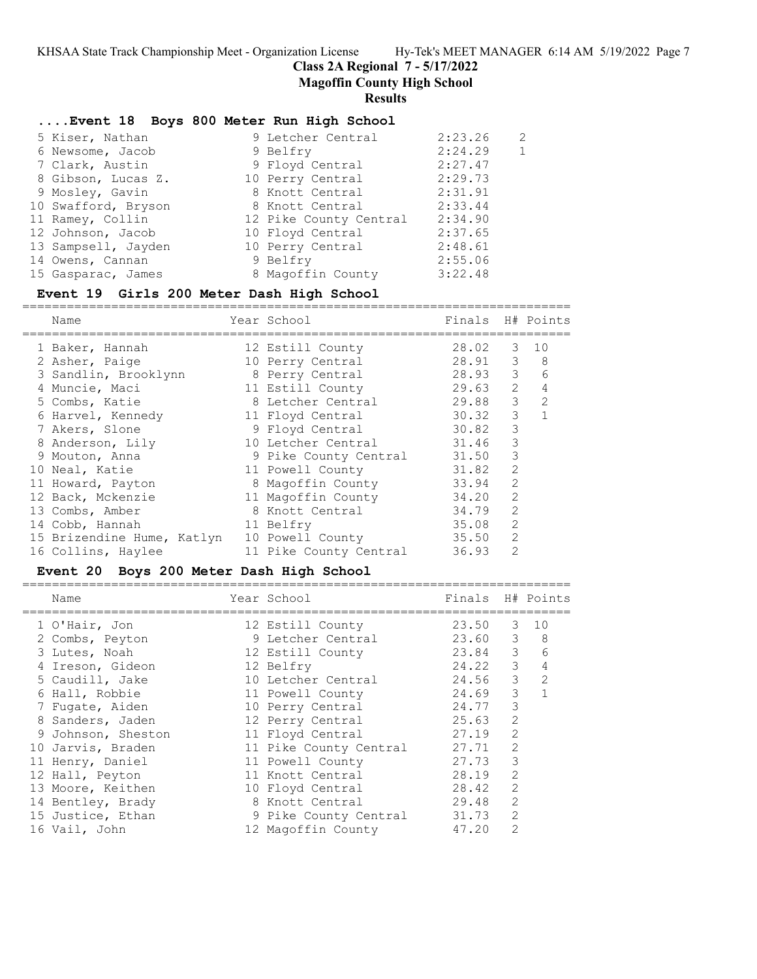**Class 2A Regional 7 - 5/17/2022**

**Magoffin County High School**

#### **Results**

## **....Event 18 Boys 800 Meter Run High School**

| 5 Kiser, Nathan     | 9 Letcher Central      | 2:23.26 | 2            |
|---------------------|------------------------|---------|--------------|
| 6 Newsome, Jacob    | 9 Belfry               | 2:24.29 | $\mathbf{1}$ |
| 7 Clark, Austin     | 9 Floyd Central        | 2:27.47 |              |
| 8 Gibson, Lucas Z.  | 10 Perry Central       | 2:29.73 |              |
| 9 Mosley, Gavin     | 8 Knott Central        | 2:31.91 |              |
| 10 Swafford, Bryson | 8 Knott Central        | 2:33.44 |              |
| 11 Ramey, Collin    | 12 Pike County Central | 2:34.90 |              |
| 12 Johnson, Jacob   | 10 Floyd Central       | 2:37.65 |              |
| 13 Sampsell, Jayden | 10 Perry Central       | 2:48.61 |              |
| 14 Owens, Cannan    | 9 Belfry               | 2:55.06 |              |
| 15 Gasparac, James  | 8 Magoffin County      | 3:22.48 |              |
|                     |                        |         |              |

#### **Event 19 Girls 200 Meter Dash High School**

========================================================================== Name Year School Finals H# Points ========================================================================== 1 Baker, Hannah 12 Estill County 28.02 3 10 2 Asher, Paige 10 Perry Central 28.91 3 8 3 Sandlin, Brooklynn 8 Perry Central 28.93 3 6 4 Muncie, Maci 11 Estill County 29.63 2 4 5 Combs, Katie 8 Letcher Central 29.88 3 2 6 Harvel, Kennedy 11 Floyd Central 30.32 3 1 7 Akers, Slone 9 Floyd Central 30.82 3 8 Anderson, Lily 10 Letcher Central 31.46 3 9 Mouton, Anna 9 Pike County Central 31.50 3 10 Neal, Katie 11 Powell County 31.82 2 11 Howard, Payton 8 Magoffin County 33.94 2 12 Back, Mckenzie 11 Magoffin County 34.20 2 13 Combs, Amber 8 Knott Central 34.79 2 14 Cobb, Hannah 11 Belfry 35.08 2 15 Brizendine Hume, Katlyn 10 Powell County 35.50 2 16 Collins, Haylee 11 Pike County Central 36.93 2

## **Event 20 Boys 200 Meter Dash High School**

| Name               | Year School            | Finals H# Points |                |                |
|--------------------|------------------------|------------------|----------------|----------------|
| 1 O'Hair, Jon      | 12 Estill County       | 23.50            | 3              | 10             |
| 2 Combs, Peyton    | 9 Letcher Central      | 23.60            | $3 -$          | 8              |
| 3 Lutes, Noah      | 12 Estill County       | 23.84            | $\mathcal{S}$  | 6              |
| 4 Ireson, Gideon   | 12 Belfry              | 24.22            | $\mathcal{S}$  | $\overline{4}$ |
| 5 Caudill, Jake    | 10 Letcher Central     | 24.56            | $\mathcal{S}$  | 2              |
| 6 Hall, Robbie     | 11 Powell County       | 24.69            | 3              | 1              |
| 7 Fugate, Aiden    | 10 Perry Central       | 24.77            | 3              |                |
| 8 Sanders, Jaden   | 12 Perry Central       | 25.63            | 2              |                |
| 9 Johnson, Sheston | 11 Floyd Central       | 27.19            | $\overline{2}$ |                |
| 10 Jarvis, Braden  | 11 Pike County Central | 27.71            | $\overline{2}$ |                |
| 11 Henry, Daniel   | 11 Powell County       | 27.73            | 3              |                |
| 12 Hall, Peyton    | 11 Knott Central       | 28.19            | 2              |                |
| 13 Moore, Keithen  | 10 Floyd Central       | 28.42            | $\overline{2}$ |                |
| 14 Bentley, Brady  | 8 Knott Central        | 29.48            | $\overline{2}$ |                |
| 15 Justice, Ethan  | 9 Pike County Central  | 31.73            | $\overline{2}$ |                |
| 16 Vail, John      | 12 Magoffin County     | 47.20            | 2              |                |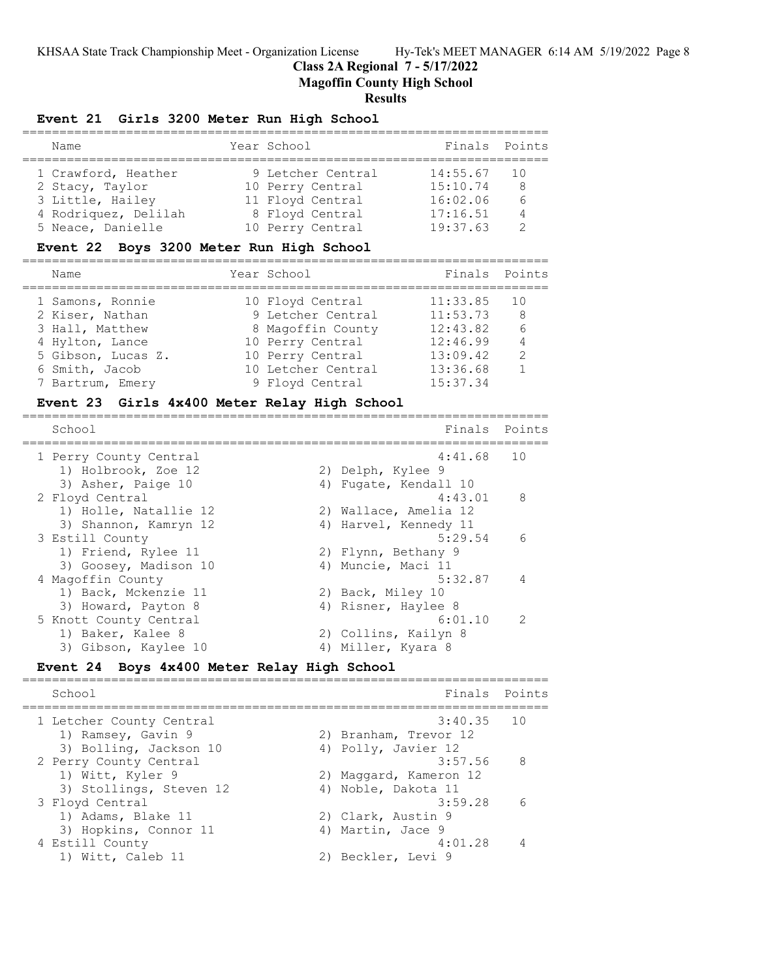**Class 2A Regional 7 - 5/17/2022**

**Magoffin County High School**

## **Results**

#### **Event 21 Girls 3200 Meter Run High School**

|  | Name                 |  | Year School       | Finals Points |     |  |
|--|----------------------|--|-------------------|---------------|-----|--|
|  |                      |  |                   |               |     |  |
|  | 1 Crawford, Heather  |  | 9 Letcher Central | 14:55.67      | 1 O |  |
|  | 2 Stacy, Taylor      |  | 10 Perry Central  | 15:10.74      | -8  |  |
|  | 3 Little, Hailey     |  | 11 Floyd Central  | 16:02.06      | 6   |  |
|  | 4 Rodriquez, Delilah |  | 8 Floyd Central   | 17:16.51      | 4   |  |
|  | 5 Neace, Danielle    |  | 10 Perry Central  | 19:37.63      |     |  |

#### **Event 22 Boys 3200 Meter Run High School**

======================================================================= Name Year School Finals Points ======================================================================= 1 Samons, Ronnie 10 Floyd Central 11:33.85 10 2 Kiser, Nathan 9 Letcher Central 11:53.73 8

| 2 Kiser, Nathan    | 9 Letcher Central  | 11:53.73 | - 8 |
|--------------------|--------------------|----------|-----|
| 3 Hall, Matthew    | 8 Magoffin County  | 12:43.82 | -6  |
| 4 Hylton, Lance    | 10 Perry Central   | 12:46.99 | 4   |
| 5 Gibson, Lucas Z. | 10 Perry Central   | 13:09.42 | -2  |
| 6 Smith, Jacob     | 10 Letcher Central | 13:36.68 | 1   |
| 7 Bartrum, Emery   | 9 Floyd Central    | 15:37.34 |     |

#### **Event 23 Girls 4x400 Meter Relay High School** =======================================================================

| School                 | Finals                | Points         |
|------------------------|-----------------------|----------------|
| 1 Perry County Central | $4:41.68$ 10          |                |
| 1) Holbrook, Zoe 12    | 2) Delph, Kylee 9     |                |
| 3) Asher, Paige 10     | 4) Fugate, Kendall 10 |                |
| 2 Floyd Central        | 4:43.01               | 8              |
| 1) Holle, Natallie 12  | 2) Wallace, Amelia 12 |                |
| 3) Shannon, Kamryn 12  | 4) Harvel, Kennedy 11 |                |
| 3 Estill County        | 5:29.54               | 6              |
| 1) Friend, Rylee 11    | 2) Flynn, Bethany 9   |                |
| 3) Goosey, Madison 10  | 4) Muncie, Maci 11    |                |
| 4 Magoffin County      | 5:32.87               | $\overline{4}$ |
| 1) Back, Mckenzie 11   | 2) Back, Miley 10     |                |
| 3) Howard, Payton 8    | 4) Risner, Haylee 8   |                |
| 5 Knott County Central | 6:01.10               | $\overline{2}$ |
| 1) Baker, Kalee 8      | 2) Collins, Kailyn 8  |                |
| 3) Gibson, Kaylee 10   | 4) Miller, Kyara 8    |                |

## **Event 24 Boys 4x400 Meter Relay High School**

======================================================================= Finals Points ======================================================================= 1 Letcher County Central 3:40.35 10 1) Ramsey, Gavin 9 2) Branham, Trevor 12 3) Bolling, Jackson 10 (4) Polly, Javier 12 2 Perry County Central 3:57.56 8 1) Witt, Kyler 9 2) Maggard, Kameron 12 3) Stollings, Steven 12 (4) Noble, Dakota 11 3 Floyd Central 3:59.28 6<br>1) Adams, Blake 11 2) Clark, Austin 9<br>3) Morbins 2 1) Adams, Blake 11 2) Clark, Austin 9 3) Hopkins, Connor 11 (4) Martin, Jace 9 4 Estill County 4:01.28 4 1) Witt, Caleb 11 2) Beckler, Levi 9